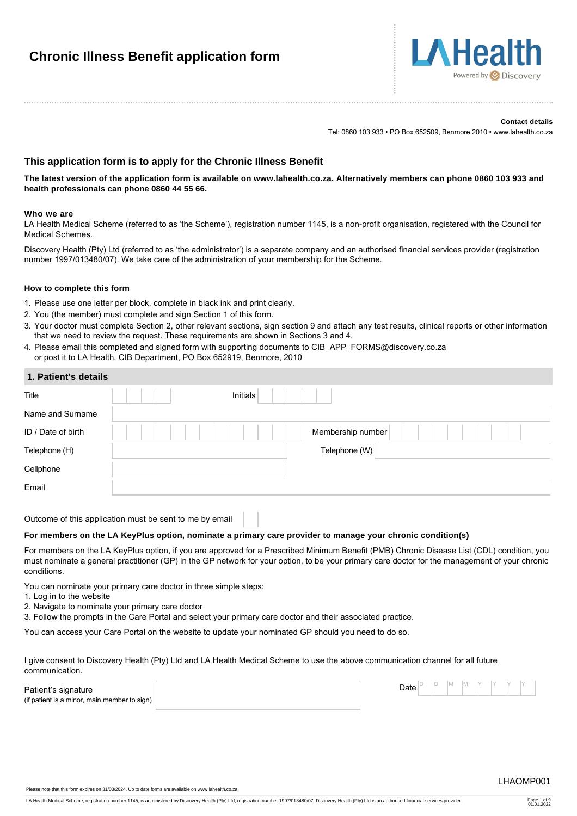# **Chronic Illness Benefit application form**



#### **Contact details**

Tel: 0860 103 933 • PO Box 652509, Benmore 2010 • www.lahealth.co.za

# **This application form is to apply for the Chronic Illness Benefit**

**The latest version of the application form is available on www.lahealth.co.za. Alternatively members can phone 0860 103 933 and health professionals can phone 0860 44 55 66.**

#### **Who we are**

LA Health Medical Scheme (referred to as 'the Scheme'), registration number 1145, is a non-profit organisation, registered with the Council for Medical Schemes.

Discovery Health (Pty) Ltd (referred to as 'the administrator') is a separate company and an authorised financial services provider (registration number 1997/013480/07). We take care of the administration of your membership for the Scheme.

### **How to complete this form**

- 1. Please use one letter per block, complete in black ink and print clearly.
- 2. You (the member) must complete and sign Section 1 of this form.
- 3. Your doctor must complete Section 2, other relevant sections, sign section 9 and attach any test results, clinical reports or other information that we need to review the request. These requirements are shown in Sections 3 and 4.
- 4. Please email this completed and signed form with supporting documents to CIB\_APP\_FORMS@discovery.co.za or post it to LA Health, CIB Department, PO Box 652919, Benmore, 2010

| 1. Patient's details |                   |
|----------------------|-------------------|
| Title                | Initials          |
| Name and Surname     |                   |
| ID / Date of birth   | Membership number |
| Telephone (H)        | Telephone (W)     |
| Cellphone            |                   |
| Email                |                   |
|                      |                   |

Outcome of this application must be sent to me by email

### **For members on the LA KeyPlus option, nominate a primary care provider to manage your chronic condition(s)**

For members on the LA KeyPlus option, if you are approved for a Prescribed Minimum Benefit (PMB) Chronic Disease List (CDL) condition, you must nominate a general practitioner (GP) in the GP network for your option, to be your primary care doctor for the management of your chronic conditions.

You can nominate your primary care doctor in three simple steps:

- 1. Log in to the website
- 2. Navigate to nominate your primary care doctor

3. Follow the prompts in the Care Portal and select your primary care doctor and their associated practice.

You can access your Care Portal on the website to update your nominated GP should you need to do so.

I give consent to Discovery Health (Pty) Ltd and LA Health Medical Scheme to use the above communication channel for all future communication.

|  |  |  | (if patient is a minor, main member to sign) |  |
|--|--|--|----------------------------------------------|--|
|  |  |  |                                              |  |

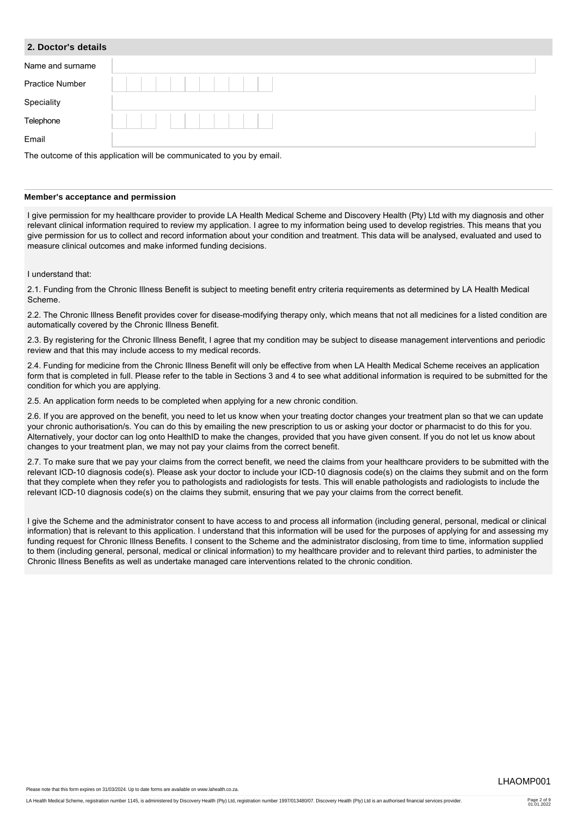### **2. Doctor's details**

| Name and surname       |                                                                      |
|------------------------|----------------------------------------------------------------------|
| <b>Practice Number</b> |                                                                      |
| Speciality             |                                                                      |
| Telephone              |                                                                      |
| Email                  |                                                                      |
|                        | The outcome of this application will be communicated to you by email |

outcome of this application will be communicated to you by email.

### **Member's acceptance and permission**

I give permission for my healthcare provider to provide LA Health Medical Scheme and Discovery Health (Pty) Ltd with my diagnosis and other relevant clinical information required to review my application. I agree to my information being used to develop registries. This means that you give permission for us to collect and record information about your condition and treatment. This data will be analysed, evaluated and used to measure clinical outcomes and make informed funding decisions.

### I understand that:

2.1. Funding from the Chronic Illness Benefit is subject to meeting benefit entry criteria requirements as determined by LA Health Medical Scheme.

2.2. The Chronic Illness Benefit provides cover for disease-modifying therapy only, which means that not all medicines for a listed condition are automatically covered by the Chronic Illness Benefit.

2.3. By registering for the Chronic Illness Benefit, I agree that my condition may be subject to disease management interventions and periodic review and that this may include access to my medical records.

2.4. Funding for medicine from the Chronic Illness Benefit will only be effective from when LA Health Medical Scheme receives an application form that is completed in full. Please refer to the table in Sections 3 and 4 to see what additional information is required to be submitted for the condition for which you are applying.

2.5. An application form needs to be completed when applying for a new chronic condition.

2.6. If you are approved on the benefit, you need to let us know when your treating doctor changes your treatment plan so that we can update your chronic authorisation/s. You can do this by emailing the new prescription to us or asking your doctor or pharmacist to do this for you. Alternatively, your doctor can log onto HealthID to make the changes, provided that you have given consent. If you do not let us know about changes to your treatment plan, we may not pay your claims from the correct benefit.

2.7. To make sure that we pay your claims from the correct benefit, we need the claims from your healthcare providers to be submitted with the relevant ICD-10 diagnosis code(s). Please ask your doctor to include your ICD-10 diagnosis code(s) on the claims they submit and on the form that they complete when they refer you to pathologists and radiologists for tests. This will enable pathologists and radiologists to include the relevant ICD-10 diagnosis code(s) on the claims they submit, ensuring that we pay your claims from the correct benefit.

I give the Scheme and the administrator consent to have access to and process all information (including general, personal, medical or clinical information) that is relevant to this application. I understand that this information will be used for the purposes of applying for and assessing my funding request for Chronic Illness Benefits. I consent to the Scheme and the administrator disclosing, from time to time, information supplied to them (including general, personal, medical or clinical information) to my healthcare provider and to relevant third parties, to administer the Chronic Illness Benefits as well as undertake managed care interventions related to the chronic condition.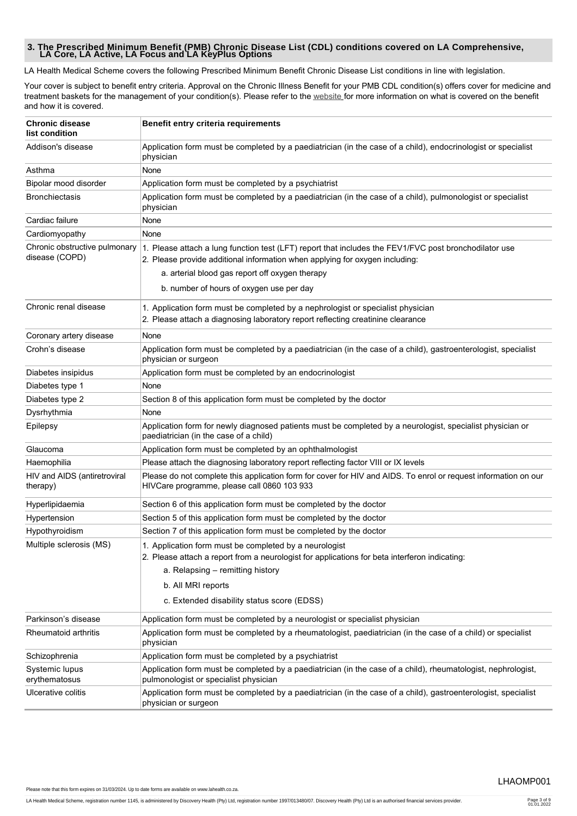# **3. The Prescribed Minimum Benefit (PMB) Chronic Disease List (CDL) conditions covered on LA Comprehensive, LA Core, LA Active, LA Focus and LA KeyPlus Options**

LA Health Medical Scheme covers the following Prescribed Minimum Benefit Chronic Disease List conditions in line with legislation.

Your cover is subject to benefit entry criteria. Approval on the Chronic Illness Benefit for your PMB CDL condition(s) offers cover for medicine and treatment baskets for the management of your condition(s). Please refer to the [website](https://www.lahealth.co.za) for more information on what is covered on the benefit and how it is covered.

| <b>Chronic disease</b><br>list condition        | Benefit entry criteria requirements                                                                                                                                                         |
|-------------------------------------------------|---------------------------------------------------------------------------------------------------------------------------------------------------------------------------------------------|
| Addison's disease                               | Application form must be completed by a paediatrician (in the case of a child), endocrinologist or specialist<br>physician                                                                  |
| Asthma                                          | None                                                                                                                                                                                        |
| Bipolar mood disorder                           | Application form must be completed by a psychiatrist                                                                                                                                        |
| <b>Bronchiectasis</b>                           | Application form must be completed by a paediatrician (in the case of a child), pulmonologist or specialist<br>physician                                                                    |
| Cardiac failure                                 | None                                                                                                                                                                                        |
| Cardiomyopathy                                  | None                                                                                                                                                                                        |
| Chronic obstructive pulmonary<br>disease (COPD) | 1. Please attach a lung function test (LFT) report that includes the FEV1/FVC post bronchodilator use<br>2. Please provide additional information when applying for oxygen including:       |
|                                                 | a. arterial blood gas report off oxygen therapy                                                                                                                                             |
|                                                 | b. number of hours of oxygen use per day                                                                                                                                                    |
| Chronic renal disease                           | 1. Application form must be completed by a nephrologist or specialist physician<br>2. Please attach a diagnosing laboratory report reflecting creatinine clearance                          |
| Coronary artery disease                         | None                                                                                                                                                                                        |
| Crohn's disease                                 | Application form must be completed by a paediatrician (in the case of a child), gastroenterologist, specialist<br>physician or surgeon                                                      |
| Diabetes insipidus                              | Application form must be completed by an endocrinologist                                                                                                                                    |
| Diabetes type 1                                 | None                                                                                                                                                                                        |
| Diabetes type 2                                 | Section 8 of this application form must be completed by the doctor                                                                                                                          |
| Dysrhythmia                                     | None                                                                                                                                                                                        |
| Epilepsy                                        | Application form for newly diagnosed patients must be completed by a neurologist, specialist physician or<br>paediatrician (in the case of a child)                                         |
| Glaucoma                                        | Application form must be completed by an ophthalmologist                                                                                                                                    |
| Haemophilia                                     | Please attach the diagnosing laboratory report reflecting factor VIII or IX levels                                                                                                          |
| HIV and AIDS (antiretroviral<br>therapy)        | Please do not complete this application form for cover for HIV and AIDS. To enrol or request information on our<br>HIVCare programme, please call 0860 103 933                              |
| Hyperlipidaemia                                 | Section 6 of this application form must be completed by the doctor                                                                                                                          |
| Hypertension                                    | Section 5 of this application form must be completed by the doctor                                                                                                                          |
| Hypothyroidism                                  | Section 7 of this application form must be completed by the doctor                                                                                                                          |
| Multiple sclerosis (MS)                         | 1. Application form must be completed by a neurologist<br>2. Please attach a report from a neurologist for applications for beta interferon indicating:<br>a. Relapsing - remitting history |
|                                                 |                                                                                                                                                                                             |
|                                                 | b. All MRI reports                                                                                                                                                                          |
|                                                 | c. Extended disability status score (EDSS)                                                                                                                                                  |
| Parkinson's disease                             | Application form must be completed by a neurologist or specialist physician                                                                                                                 |
| Rheumatoid arthritis                            | Application form must be completed by a rheumatologist, paediatrician (in the case of a child) or specialist<br>physician                                                                   |
| Schizophrenia                                   | Application form must be completed by a psychiatrist                                                                                                                                        |
| Systemic lupus<br>erythematosus                 | Application form must be completed by a paediatrician (in the case of a child), rheumatologist, nephrologist,<br>pulmonologist or specialist physician                                      |
| Ulcerative colitis                              | Application form must be completed by a paediatrician (in the case of a child), gastroenterologist, specialist<br>physician or surgeon                                                      |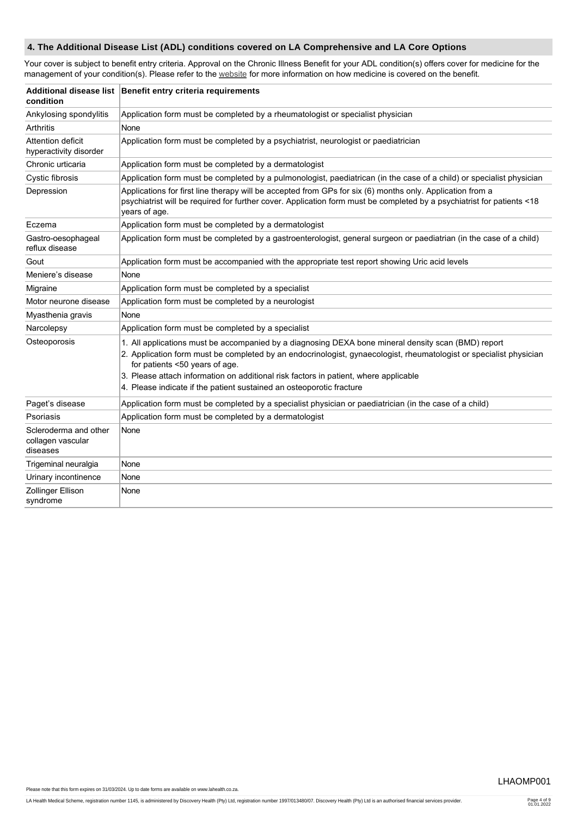# **4. The Additional Disease List (ADL) conditions covered on LA Comprehensive and LA Core Options**

Your cover is subject to benefit entry criteria. Approval on the Chronic Illness Benefit for your ADL condition(s) offers cover for medicine for the management of your condition(s). Please refer to the [website](https://www.lahealth.co.za) for more information on how medicine is covered on the benefit.

| condition                                              | Additional disease list Benefit entry criteria requirements                                                                                                                                                                                                                                                                                                                                                                 |
|--------------------------------------------------------|-----------------------------------------------------------------------------------------------------------------------------------------------------------------------------------------------------------------------------------------------------------------------------------------------------------------------------------------------------------------------------------------------------------------------------|
| Ankylosing spondylitis                                 | Application form must be completed by a rheumatologist or specialist physician                                                                                                                                                                                                                                                                                                                                              |
| Arthritis                                              | None                                                                                                                                                                                                                                                                                                                                                                                                                        |
| Attention deficit<br>hyperactivity disorder            | Application form must be completed by a psychiatrist, neurologist or paediatrician                                                                                                                                                                                                                                                                                                                                          |
| Chronic urticaria                                      | Application form must be completed by a dermatologist                                                                                                                                                                                                                                                                                                                                                                       |
| Cystic fibrosis                                        | Application form must be completed by a pulmonologist, paediatrican (in the case of a child) or specialist physician                                                                                                                                                                                                                                                                                                        |
| Depression                                             | Applications for first line therapy will be accepted from GPs for six (6) months only. Application from a<br>psychiatrist will be required for further cover. Application form must be completed by a psychiatrist for patients <18<br>years of age.                                                                                                                                                                        |
| Eczema                                                 | Application form must be completed by a dermatologist                                                                                                                                                                                                                                                                                                                                                                       |
| Gastro-oesophageal<br>reflux disease                   | Application form must be completed by a gastroenterologist, general surgeon or paediatrian (in the case of a child)                                                                                                                                                                                                                                                                                                         |
| Gout                                                   | Application form must be accompanied with the appropriate test report showing Uric acid levels                                                                                                                                                                                                                                                                                                                              |
| Meniere's disease                                      | None                                                                                                                                                                                                                                                                                                                                                                                                                        |
| Migraine                                               | Application form must be completed by a specialist                                                                                                                                                                                                                                                                                                                                                                          |
| Motor neurone disease                                  | Application form must be completed by a neurologist                                                                                                                                                                                                                                                                                                                                                                         |
| Myasthenia gravis                                      | None                                                                                                                                                                                                                                                                                                                                                                                                                        |
| Narcolepsy                                             | Application form must be completed by a specialist                                                                                                                                                                                                                                                                                                                                                                          |
| Osteoporosis                                           | 1. All applications must be accompanied by a diagnosing DEXA bone mineral density scan (BMD) report<br>2. Application form must be completed by an endocrinologist, gynaecologist, rheumatologist or specialist physician<br>for patients <50 years of age.<br>3. Please attach information on additional risk factors in patient, where applicable<br>4. Please indicate if the patient sustained an osteoporotic fracture |
| Paget's disease                                        | Application form must be completed by a specialist physician or paediatrician (in the case of a child)                                                                                                                                                                                                                                                                                                                      |
| Psoriasis                                              | Application form must be completed by a dermatologist                                                                                                                                                                                                                                                                                                                                                                       |
| Scleroderma and other<br>collagen vascular<br>diseases | None                                                                                                                                                                                                                                                                                                                                                                                                                        |
| Trigeminal neuralgia                                   | None                                                                                                                                                                                                                                                                                                                                                                                                                        |
| Urinary incontinence                                   | None                                                                                                                                                                                                                                                                                                                                                                                                                        |
| Zollinger Ellison<br>syndrome                          | None                                                                                                                                                                                                                                                                                                                                                                                                                        |

Please note that this form expires on 31/03/2024. Up to date forms are available on www.lahealth.co.za.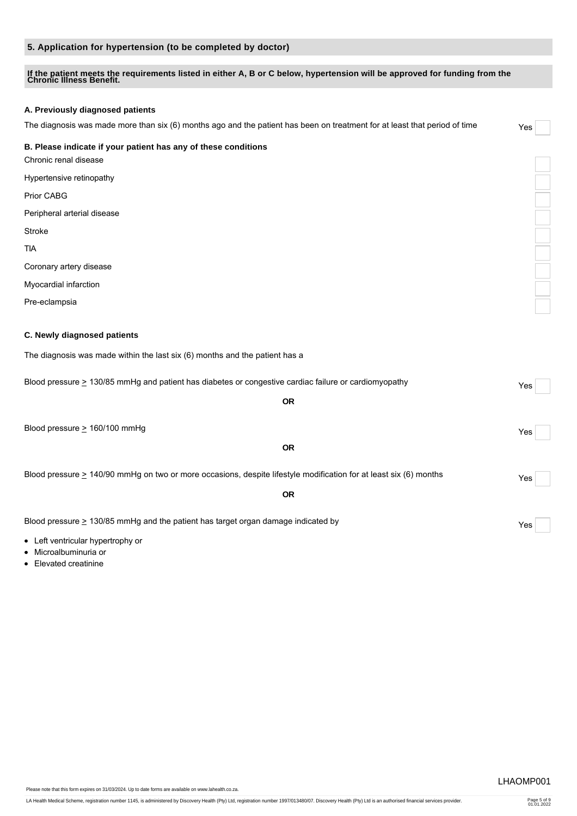# **5. Application for hypertension (to be completed by doctor)**

# **If the patient meets the requirements listed in either A, B or C below, hypertension will be approved for funding from the Chronic Illness Benefit.**

### **A. Previously diagnosed patients**

The diagnosis was made more than six (6) months ago and the patient has been on treatment for at least that period of time Yes

### **B. Please indicate if your patient has any of these conditions**

Chronic renal disease

Hypertensive retinopathy

Prior CABG

Peripheral arterial disease

Stroke

TIA

Coronary artery disease

Myocardial infarction

Pre-eclampsia

# **C. Newly diagnosed patients**

The diagnosis was made within the last six (6) months and the patient has a

| Blood pressure $\geq$ 130/85 mmHg and patient has diabetes or congestive cardiac failure or cardiomyopathy             | Yes |  |
|------------------------------------------------------------------------------------------------------------------------|-----|--|
| <b>OR</b>                                                                                                              |     |  |
| Blood pressure $> 160/100$ mmHg                                                                                        | Yes |  |
| <b>OR</b>                                                                                                              |     |  |
| Blood pressure $\geq 140/90$ mmHg on two or more occasions, despite lifestyle modification for at least six (6) months | Yes |  |
| <b>OR</b>                                                                                                              |     |  |
| Blood pressure $\geq$ 130/85 mmHg and the patient has target organ damage indicated by                                 | Yes |  |
| • Left ventricular hypertrophy or                                                                                      |     |  |

Microalbuminuria or

• Elevated creatinine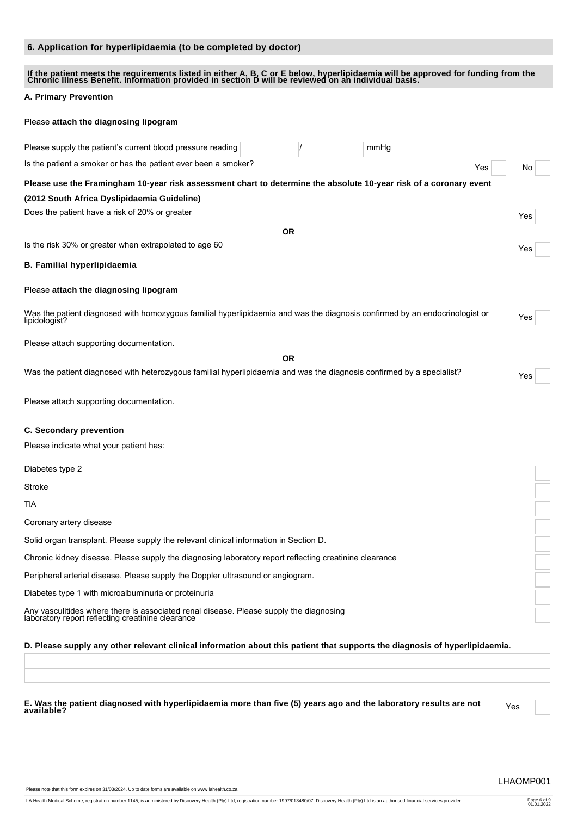# **6. Application for hyperlipidaemia (to be completed by doctor)**

| If the patient meets the requirements listed in either A, B, C or E below, hyperlipidaemia will be approved for funding from the<br>Chronic Illness Benefit. Information provided in section D will be reviewed on an individual |     |
|----------------------------------------------------------------------------------------------------------------------------------------------------------------------------------------------------------------------------------|-----|
| A. Primary Prevention                                                                                                                                                                                                            |     |
| Please attach the diagnosing lipogram                                                                                                                                                                                            |     |
| Please supply the patient's current blood pressure reading<br>mmHg                                                                                                                                                               |     |
| Is the patient a smoker or has the patient ever been a smoker?<br>Yes                                                                                                                                                            | No  |
| Please use the Framingham 10-year risk assessment chart to determine the absolute 10-year risk of a coronary event                                                                                                               |     |
| (2012 South Africa Dyslipidaemia Guideline)                                                                                                                                                                                      |     |
| Does the patient have a risk of 20% or greater                                                                                                                                                                                   | Yes |
| <b>OR</b>                                                                                                                                                                                                                        |     |
| Is the risk 30% or greater when extrapolated to age 60                                                                                                                                                                           | Yes |
| <b>B. Familial hyperlipidaemia</b>                                                                                                                                                                                               |     |
| Please attach the diagnosing lipogram                                                                                                                                                                                            |     |
| Was the patient diagnosed with homozygous familial hyperlipidaemia and was the diagnosis confirmed by an endocrinologist or<br>lipidologist?                                                                                     | Yes |
| Please attach supporting documentation.                                                                                                                                                                                          |     |
| <b>OR</b>                                                                                                                                                                                                                        |     |
| Was the patient diagnosed with heterozygous familial hyperlipidaemia and was the diagnosis confirmed by a specialist?                                                                                                            | Yes |
| Please attach supporting documentation.                                                                                                                                                                                          |     |
| C. Secondary prevention                                                                                                                                                                                                          |     |
| Please indicate what your patient has:                                                                                                                                                                                           |     |
| Diabetes type 2                                                                                                                                                                                                                  |     |
| Stroke                                                                                                                                                                                                                           |     |
| tia                                                                                                                                                                                                                              |     |
| Coronary artery disease                                                                                                                                                                                                          |     |
| Solid organ transplant. Please supply the relevant clinical information in Section D.                                                                                                                                            |     |
| Chronic kidney disease. Please supply the diagnosing laboratory report reflecting creatinine clearance                                                                                                                           |     |
| Peripheral arterial disease. Please supply the Doppler ultrasound or angiogram.                                                                                                                                                  |     |
| Diabetes type 1 with microalbuminuria or proteinuria                                                                                                                                                                             |     |
| Any vasculitides where there is associated renal disease. Please supply the diagnosing<br>laboratory report reflecting creatinine clearance                                                                                      |     |
| D. Please supply any other relevant clinical information about this patient that supports the diagnosis of hyperlipidaemia.                                                                                                      |     |

E. Was the patient diagnosed with hyperlipidaemia more than five (5) years ago and the laboratory results are not<br>available?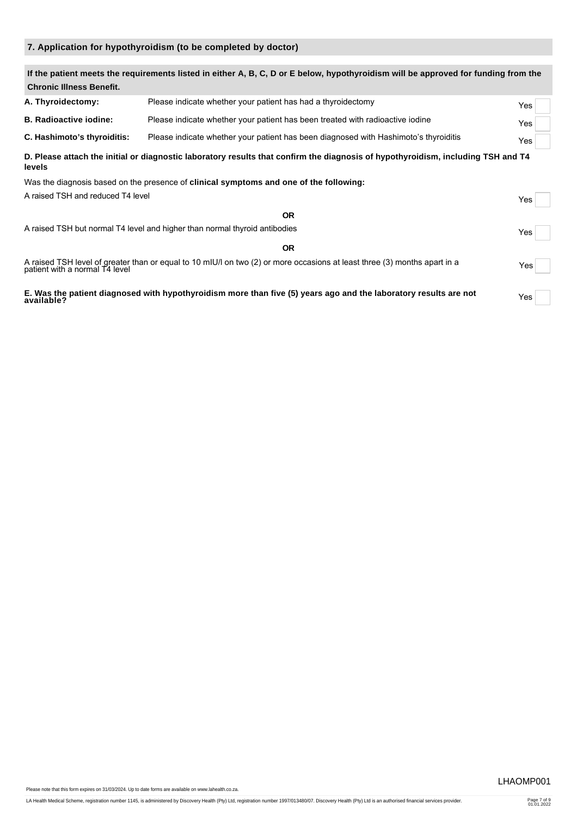# **7. Application for hypothyroidism (to be completed by doctor)**

| <b>Chronic Illness Benefit.</b>   | If the patient meets the requirements listed in either A, B, C, D or E below, hypothyroidism will be approved for funding from the                          |     |
|-----------------------------------|-------------------------------------------------------------------------------------------------------------------------------------------------------------|-----|
| A. Thyroidectomy:                 | Please indicate whether your patient has had a thyroidectomy                                                                                                | Yes |
| <b>B. Radioactive iodine:</b>     | Please indicate whether your patient has been treated with radioactive iodine                                                                               | Yes |
| C. Hashimoto's thyroiditis:       | Please indicate whether your patient has been diagnosed with Hashimoto's thyroiditis                                                                        | Yes |
| levels                            | D. Please attach the initial or diagnostic laboratory results that confirm the diagnosis of hypothyroidism, including TSH and T4                            |     |
|                                   | Was the diagnosis based on the presence of clinical symptoms and one of the following:                                                                      |     |
| A raised TSH and reduced T4 level |                                                                                                                                                             | Yes |
|                                   | <b>OR</b>                                                                                                                                                   |     |
|                                   | A raised TSH but normal T4 level and higher than normal thyroid antibodies                                                                                  | Yes |
|                                   | <b>OR</b>                                                                                                                                                   |     |
|                                   | A raised TSH level of greater than or equal to 10 mIU/l on two (2) or more occasions at least three (3) months apart in a<br>patient with a normal T4 level | Yes |
| available?                        | E. Was the patient diagnosed with hypothyroidism more than five (5) years ago and the laboratory results are not                                            | Yes |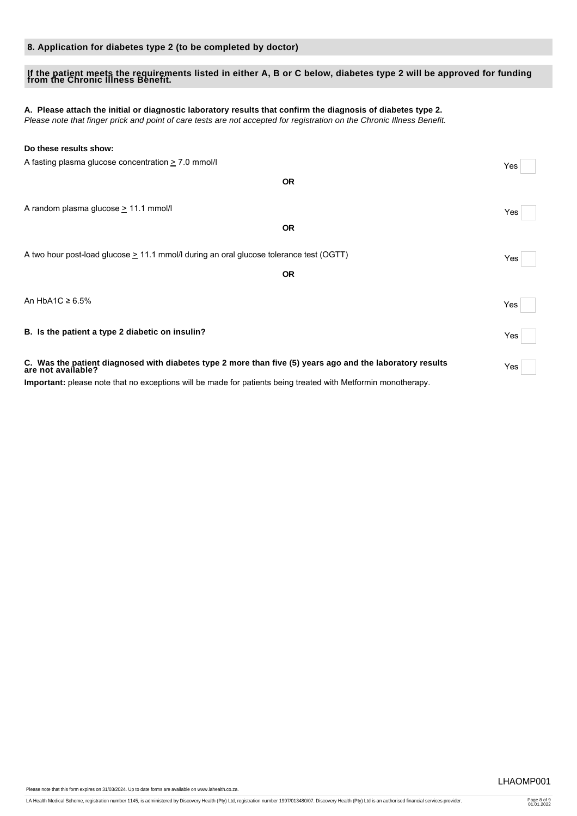# **8. Application for diabetes type 2 (to be completed by doctor)**

# **If the patient meets the requirements listed in either A, B or C below, diabetes type 2 will be approved for funding from the Chronic Illness Benefit.**

# **A. Please attach the initial or diagnostic laboratory results that confirm the diagnosis of diabetes type 2.**

*Please note that finger prick and point of care tests are not accepted for registration on the Chronic Illness Benefit.*

| Do these results show:                                                                                                          |     |
|---------------------------------------------------------------------------------------------------------------------------------|-----|
| A fasting plasma glucose concentration $\geq 7.0$ mmol/l                                                                        | Yes |
| <b>OR</b>                                                                                                                       |     |
| A random plasma glucose $\geq$ 11.1 mmol/l                                                                                      | Yes |
| <b>OR</b>                                                                                                                       |     |
| A two hour post-load glucose $\geq 11.1$ mmol/l during an oral glucose tolerance test (OGTT)                                    | Yes |
| <b>OR</b>                                                                                                                       |     |
| An HbA1C $\geq 6.5\%$                                                                                                           | Yes |
| B. Is the patient a type 2 diabetic on insulin?                                                                                 | Yes |
| C. Was the patient diagnosed with diabetes type 2 more than five (5) years ago and the laboratory results<br>are not available? | Yes |
| Important: please note that no exceptions will be made for patients being treated with Metformin monotherapy.                   |     |